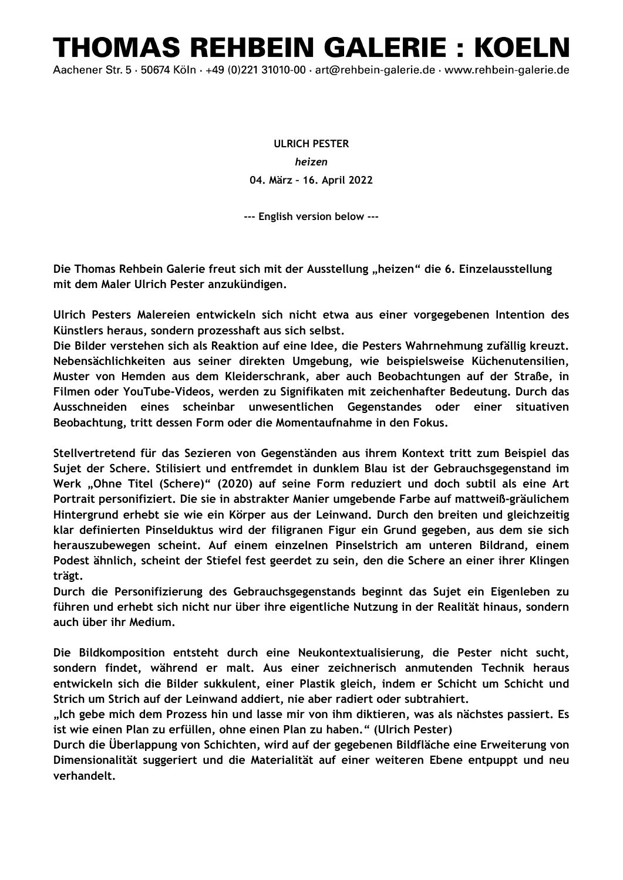## THOMAS REHBEIN GALERIE : KOELN

Aachener Str. 5 · 50674 Köln · +49 (0)221 31010-00 · art@rehbein-galerie.de · www.rehbein-galerie.de

**ULRICH PESTER** *heizen*  **04. März – 16. April 2022** 

**--- English version below ---**

**Die Thomas Rehbein Galerie freut sich mit der Ausstellung "heizen" die 6. Einzelausstellung mit dem Maler Ulrich Pester anzukündigen.**

**Ulrich Pesters Malereien entwickeln sich nicht etwa aus einer vorgegebenen Intention des Künstlers heraus, sondern prozesshaft aus sich selbst.**

**Die Bilder verstehen sich als Reaktion auf eine Idee, die Pesters Wahrnehmung zufällig kreuzt. Nebensächlichkeiten aus seiner direkten Umgebung, wie beispielsweise Küchenutensilien, Muster von Hemden aus dem Kleiderschrank, aber auch Beobachtungen auf der Straße, in Filmen oder YouTube-Videos, werden zu Signifikaten mit zeichenhafter Bedeutung. Durch das Ausschneiden eines scheinbar unwesentlichen Gegenstandes oder einer situativen Beobachtung, tritt dessen Form oder die Momentaufnahme in den Fokus.** 

**Stellvertretend für das Sezieren von Gegenständen aus ihrem Kontext tritt zum Beispiel das Sujet der Schere. Stilisiert und entfremdet in dunklem Blau ist der Gebrauchsgegenstand im Werk "Ohne Titel (Schere)" (2020) auf seine Form reduziert und doch subtil als eine Art Portrait personifiziert. Die sie in abstrakter Manier umgebende Farbe auf mattweiß-gräulichem Hintergrund erhebt sie wie ein Körper aus der Leinwand. Durch den breiten und gleichzeitig klar definierten Pinselduktus wird der filigranen Figur ein Grund gegeben, aus dem sie sich herauszubewegen scheint. Auf einem einzelnen Pinselstrich am unteren Bildrand, einem Podest ähnlich, scheint der Stiefel fest geerdet zu sein, den die Schere an einer ihrer Klingen trägt.**

**Durch die Personifizierung des Gebrauchsgegenstands beginnt das Sujet ein Eigenleben zu führen und erhebt sich nicht nur über ihre eigentliche Nutzung in der Realität hinaus, sondern auch über ihr Medium.** 

**Die Bildkomposition entsteht durch eine Neukontextualisierung, die Pester nicht sucht, sondern findet, während er malt. Aus einer zeichnerisch anmutenden Technik heraus entwickeln sich die Bilder sukkulent, einer Plastik gleich, indem er Schicht um Schicht und Strich um Strich auf der Leinwand addiert, nie aber radiert oder subtrahiert.** 

**"Ich gebe mich dem Prozess hin und lasse mir von ihm diktieren, was als nächstes passiert. Es ist wie einen Plan zu erfüllen, ohne einen Plan zu haben." (Ulrich Pester)** 

**Durch die Überlappung von Schichten, wird auf der gegebenen Bildfläche eine Erweiterung von Dimensionalität suggeriert und die Materialität auf einer weiteren Ebene entpuppt und neu verhandelt.**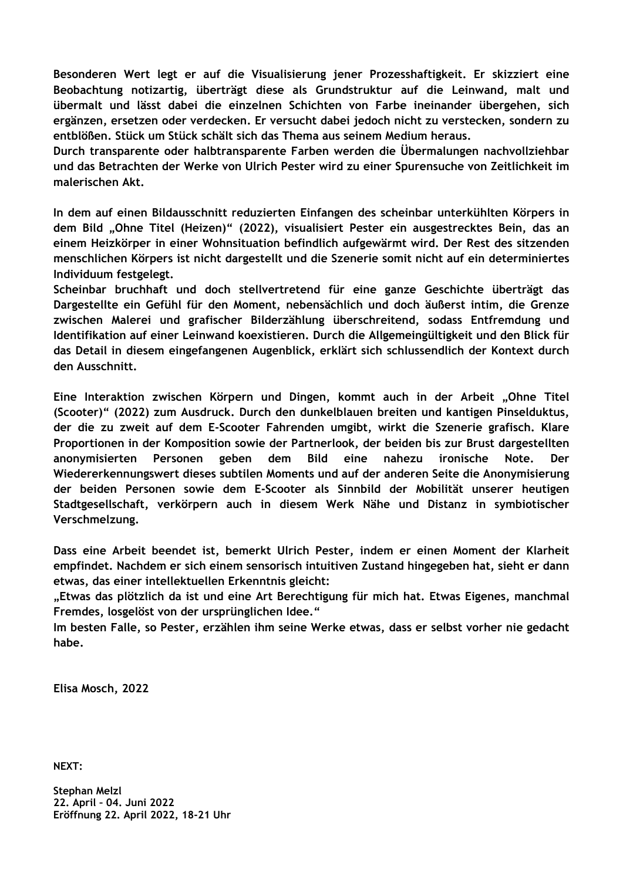**Besonderen Wert legt er auf die Visualisierung jener Prozesshaftigkeit. Er skizziert eine Beobachtung notizartig, überträgt diese als Grundstruktur auf die Leinwand, malt und übermalt und lässt dabei die einzelnen Schichten von Farbe ineinander übergehen, sich ergänzen, ersetzen oder verdecken. Er versucht dabei jedoch nicht zu verstecken, sondern zu entblößen. Stück um Stück schält sich das Thema aus seinem Medium heraus.**

**Durch transparente oder halbtransparente Farben werden die Übermalungen nachvollziehbar und das Betrachten der Werke von Ulrich Pester wird zu einer Spurensuche von Zeitlichkeit im malerischen Akt.** 

**In dem auf einen Bildausschnitt reduzierten Einfangen des scheinbar unterkühlten Körpers in dem Bild "Ohne Titel (Heizen)" (2022), visualisiert Pester ein ausgestrecktes Bein, das an einem Heizkörper in einer Wohnsituation befindlich aufgewärmt wird. Der Rest des sitzenden menschlichen Körpers ist nicht dargestellt und die Szenerie somit nicht auf ein determiniertes Individuum festgelegt.** 

**Scheinbar bruchhaft und doch stellvertretend für eine ganze Geschichte überträgt das Dargestellte ein Gefühl für den Moment, nebensächlich und doch äußerst intim, die Grenze zwischen Malerei und grafischer Bilderzählung überschreitend, sodass Entfremdung und Identifikation auf einer Leinwand koexistieren. Durch die Allgemeingültigkeit und den Blick für das Detail in diesem eingefangenen Augenblick, erklärt sich schlussendlich der Kontext durch den Ausschnitt.** 

**Eine Interaktion zwischen Körpern und Dingen, kommt auch in der Arbeit "Ohne Titel (Scooter)" (2022) zum Ausdruck. Durch den dunkelblauen breiten und kantigen Pinselduktus, der die zu zweit auf dem E-Scooter Fahrenden umgibt, wirkt die Szenerie grafisch. Klare Proportionen in der Komposition sowie der Partnerlook, der beiden bis zur Brust dargestellten anonymisierten Personen geben dem Bild eine nahezu ironische Note. Der Wiedererkennungswert dieses subtilen Moments und auf der anderen Seite die Anonymisierung der beiden Personen sowie dem E-Scooter als Sinnbild der Mobilität unserer heutigen Stadtgesellschaft, verkörpern auch in diesem Werk Nähe und Distanz in symbiotischer Verschmelzung.**

**Dass eine Arbeit beendet ist, bemerkt Ulrich Pester, indem er einen Moment der Klarheit empfindet. Nachdem er sich einem sensorisch intuitiven Zustand hingegeben hat, sieht er dann etwas, das einer intellektuellen Erkenntnis gleicht:**

**"Etwas das plötzlich da ist und eine Art Berechtigung für mich hat. Etwas Eigenes, manchmal Fremdes, losgelöst von der ursprünglichen Idee."** 

**Im besten Falle, so Pester, erzählen ihm seine Werke etwas, dass er selbst vorher nie gedacht habe.**

**Elisa Mosch, 2022**

**NEXT:**

**Stephan Melzl 22. April – 04. Juni 2022 Eröffnung 22. April 2022, 18-21 Uhr**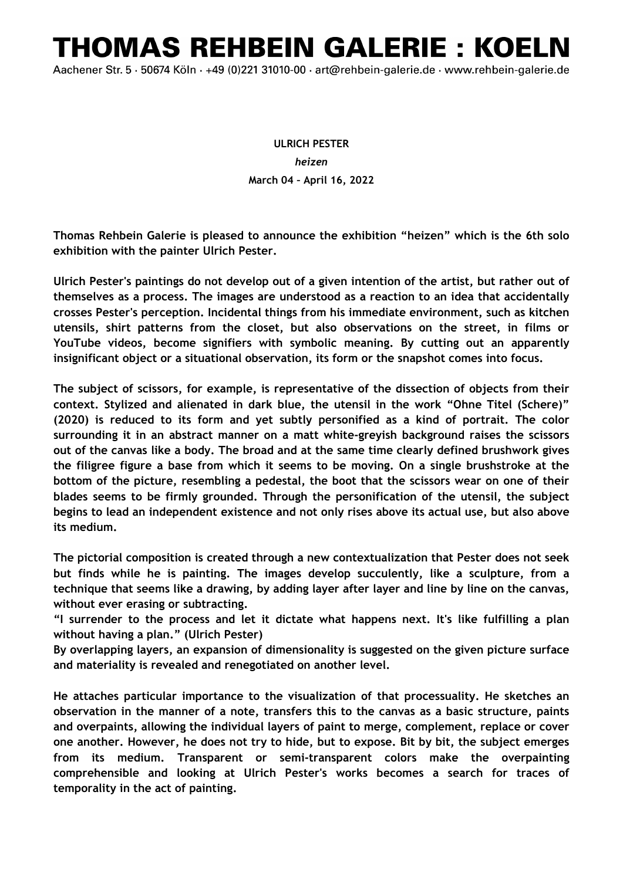## THOMAS REHBEIN GALERIE : KOELN

Aachener Str. 5 · 50674 Köln · +49 (0)221 31010-00 · art@rehbein-galerie.de · www.rehbein-galerie.de

## **ULRICH PESTER** *heizen*  **March 04 – April 16, 2022**

**Thomas Rehbein Galerie is pleased to announce the exhibition "heizen" which is the 6th solo exhibition with the painter Ulrich Pester.** 

**Ulrich Pester's paintings do not develop out of a given intention of the artist, but rather out of themselves as a process. The images are understood as a reaction to an idea that accidentally crosses Pester's perception. Incidental things from his immediate environment, such as kitchen utensils, shirt patterns from the closet, but also observations on the street, in films or YouTube videos, become signifiers with symbolic meaning. By cutting out an apparently insignificant object or a situational observation, its form or the snapshot comes into focus.**

**The subject of scissors, for example, is representative of the dissection of objects from their context. Stylized and alienated in dark blue, the utensil in the work "Ohne Titel (Schere)" (2020) is reduced to its form and yet subtly personified as a kind of portrait. The color surrounding it in an abstract manner on a matt white-greyish background raises the scissors out of the canvas like a body. The broad and at the same time clearly defined brushwork gives the filigree figure a base from which it seems to be moving. On a single brushstroke at the bottom of the picture, resembling a pedestal, the boot that the scissors wear on one of their blades seems to be firmly grounded. Through the personification of the utensil, the subject begins to lead an independent existence and not only rises above its actual use, but also above its medium.** 

**The pictorial composition is created through a new contextualization that Pester does not seek but finds while he is painting. The images develop succulently, like a sculpture, from a technique that seems like a drawing, by adding layer after layer and line by line on the canvas, without ever erasing or subtracting.** 

**"I surrender to the process and let it dictate what happens next. It's like fulfilling a plan without having a plan." (Ulrich Pester)**

**By overlapping layers, an expansion of dimensionality is suggested on the given picture surface and materiality is revealed and renegotiated on another level.**

**He attaches particular importance to the visualization of that processuality. He sketches an observation in the manner of a note, transfers this to the canvas as a basic structure, paints and overpaints, allowing the individual layers of paint to merge, complement, replace or cover one another. However, he does not try to hide, but to expose. Bit by bit, the subject emerges from its medium. Transparent or semi-transparent colors make the overpainting comprehensible and looking at Ulrich Pester's works becomes a search for traces of temporality in the act of painting.**